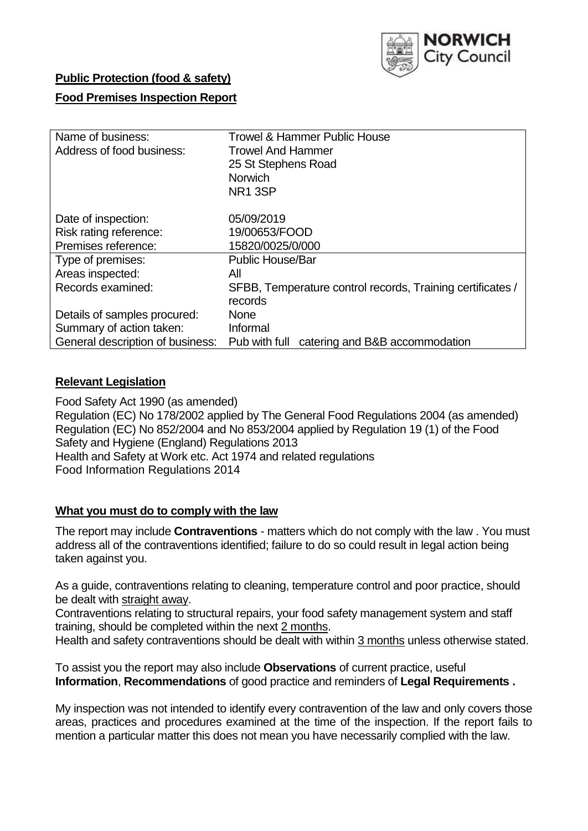

### **Public Protection (food & safety)**

#### **Food Premises Inspection Report**

| Name of business:                | <b>Trowel &amp; Hammer Public House</b>                    |  |  |  |  |  |
|----------------------------------|------------------------------------------------------------|--|--|--|--|--|
| Address of food business:        | <b>Trowel And Hammer</b>                                   |  |  |  |  |  |
|                                  | 25 St Stephens Road                                        |  |  |  |  |  |
|                                  | Norwich                                                    |  |  |  |  |  |
|                                  | NR <sub>1</sub> 3SP                                        |  |  |  |  |  |
|                                  |                                                            |  |  |  |  |  |
| Date of inspection:              | 05/09/2019                                                 |  |  |  |  |  |
| Risk rating reference:           | 19/00653/FOOD                                              |  |  |  |  |  |
| Premises reference:              | 15820/0025/0/000                                           |  |  |  |  |  |
| Type of premises:                | <b>Public House/Bar</b>                                    |  |  |  |  |  |
| Areas inspected:                 | All                                                        |  |  |  |  |  |
| Records examined:                | SFBB, Temperature control records, Training certificates / |  |  |  |  |  |
|                                  | records                                                    |  |  |  |  |  |
| Details of samples procured:     | <b>None</b>                                                |  |  |  |  |  |
| Summary of action taken:         | Informal                                                   |  |  |  |  |  |
| General description of business: | Pub with full catering and B&B accommodation               |  |  |  |  |  |

#### **Relevant Legislation**

Food Safety Act 1990 (as amended) Regulation (EC) No 178/2002 applied by The General Food Regulations 2004 (as amended) Regulation (EC) No 852/2004 and No 853/2004 applied by Regulation 19 (1) of the Food Safety and Hygiene (England) Regulations 2013 Health and Safety at Work etc. Act 1974 and related regulations Food Information Regulations 2014

#### **What you must do to comply with the law**

The report may include **Contraventions** - matters which do not comply with the law . You must address all of the contraventions identified; failure to do so could result in legal action being taken against you.

As a guide, contraventions relating to cleaning, temperature control and poor practice, should be dealt with straight away.

Contraventions relating to structural repairs, your food safety management system and staff training, should be completed within the next 2 months.

Health and safety contraventions should be dealt with within 3 months unless otherwise stated.

To assist you the report may also include **Observations** of current practice, useful **Information**, **Recommendations** of good practice and reminders of **Legal Requirements .**

My inspection was not intended to identify every contravention of the law and only covers those areas, practices and procedures examined at the time of the inspection. If the report fails to mention a particular matter this does not mean you have necessarily complied with the law.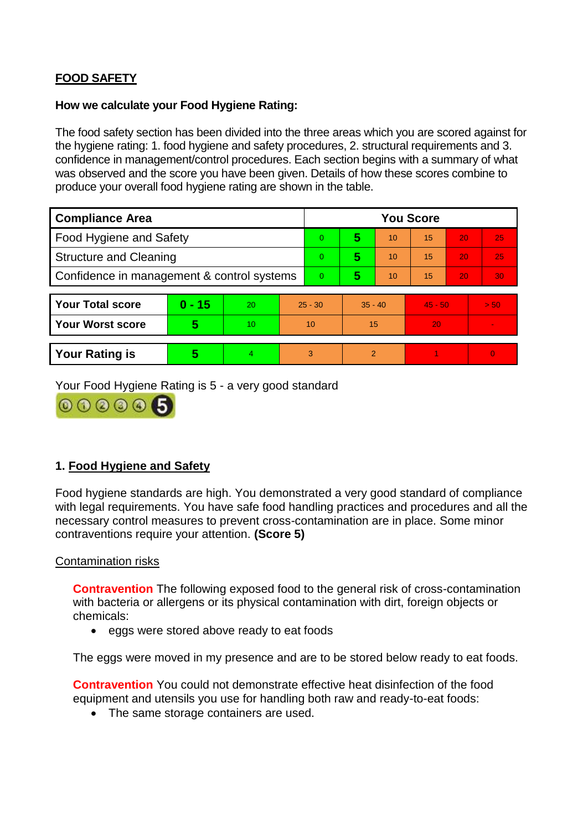## **FOOD SAFETY**

#### **How we calculate your Food Hygiene Rating:**

The food safety section has been divided into the three areas which you are scored against for the hygiene rating: 1. food hygiene and safety procedures, 2. structural requirements and 3. confidence in management/control procedures. Each section begins with a summary of what was observed and the score you have been given. Details of how these scores combine to produce your overall food hygiene rating are shown in the table.

| <b>Compliance Area</b>                     |          |    |                | <b>You Score</b> |                |    |           |    |                |  |  |
|--------------------------------------------|----------|----|----------------|------------------|----------------|----|-----------|----|----------------|--|--|
| Food Hygiene and Safety                    |          |    |                | $\Omega$         | 5              | 10 | 15        | 20 | 25             |  |  |
| <b>Structure and Cleaning</b>              |          |    | $\overline{0}$ | 5                | 10             | 15 | 20        | 25 |                |  |  |
| Confidence in management & control systems |          |    | $\Omega$       | 5                | 10             | 15 | 20        | 30 |                |  |  |
|                                            |          |    |                |                  |                |    |           |    |                |  |  |
| <b>Your Total score</b>                    | $0 - 15$ | 20 | $25 - 30$      |                  | $35 - 40$      |    | $45 - 50$ |    | > 50           |  |  |
| <b>Your Worst score</b>                    | 5        | 10 | 10             |                  | 15             |    | 20        |    | $\blacksquare$ |  |  |
|                                            |          |    |                |                  |                |    |           |    |                |  |  |
| <b>Your Rating is</b>                      | 5        | 4  | 3              |                  | $\overline{2}$ |    |           |    | $\Omega$       |  |  |

Your Food Hygiene Rating is 5 - a very good standard



## **1. Food Hygiene and Safety**

Food hygiene standards are high. You demonstrated a very good standard of compliance with legal requirements. You have safe food handling practices and procedures and all the necessary control measures to prevent cross-contamination are in place. Some minor contraventions require your attention. **(Score 5)**

#### Contamination risks

**Contravention** The following exposed food to the general risk of cross-contamination with bacteria or allergens or its physical contamination with dirt, foreign objects or chemicals:

• eggs were stored above ready to eat foods

The eggs were moved in my presence and are to be stored below ready to eat foods.

**Contravention** You could not demonstrate effective heat disinfection of the food equipment and utensils you use for handling both raw and ready-to-eat foods:

• The same storage containers are used.